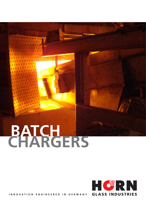# BATCH



INNOVATION ENGINEERED IN GERMANY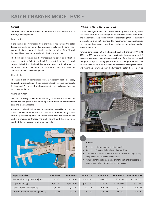# **Batch Charger Model HVR F**

#### **General**

The HVR batch charger is used for fuel fired furnaces with lateral or frontal, open doghouses

#### Level control

If the batch is directly charged from the furnace hopper into the batch feeder, the feeder can be used as a connector between the batch hopper and the batch charger. In this design, the regulation of the fill level by the fill level detector takes place in the furnace hopper.

The batch can however also be transported via screw or a vibration chute etc and then fall into the batch feeder. In this design, a fill level detector is built into the batch feeder. The detector's signal is sent to an isolated contact. This contact can be used to control the screw, the vibration chute or similar equipment.

#### Heat shield

The heat shield, in combination with a refractory doghouse hood, brings about the sealing of the doghouse whereby secondary air supply is eliminated. The heat shield also protects the batch charger from too much heat radiation.

#### Charging system

The batch is evenly spread on the vibrating chute with the help of the feeder. The end piece of the vibrating chute is made of heat resistant steel and is exchangeable.

A water-cooled paddle is situated at the end of the oscillating charging chute. The paddle pushes the batch evenly from the vibrating chutes into the glass melting end and creates batch piles. The speed of the pusher is inverter-controlled. The stroke length and the submersion depth of the pushers can be adjusted manually.



#### **HVR 250 F / 300 F / 400 F / 500 F / 600 F**

The batch charger is fixed to a moveable carriage with a rotary frame. The frame turns on ball bearings which are fixed between the frame and the carriage. The slewing motion of the rotating frame is caused by a controllable pneumatic cylinder. The movement of the paddle is carried out by a lever system to which a continuous controllable gearbox motor is connected.

For even distribution in the melting end, the batch chargers HVR 250 F, 300 F and 400 F slew from the middle position to the right or to the left using the swing gear, depending on which side of the furnace the batch charger is set up. The swing gear for the batch charger HVR 500 F and HVR 600 F always slews from the middle position to the right and to the left, regardless on which side of the furnace the batch charger is set up.



### +

#### **Benefits:**

- Reduction of the amount of dust by islanding
- Reduction of heat radiation due to thermal shield
- Durability due to stable construction, utilisation of high quality components and excellent workmanship
- Increased melting rate by means of melting of smaller portions of mixture and uniform distribution via swing gear

| <b>Types available</b>              | <b>HVR 250 F</b> | <b>HVR 300 F</b> | <b>HVR 400 F</b> | <b>HVR 500 F</b> | <b>HVR 600 F</b> | HVR 700 $F - 2P$ |
|-------------------------------------|------------------|------------------|------------------|------------------|------------------|------------------|
| Feeder width (top/bottom) [mm]      | 250/150          | 300/200          | 400/300          | 500/400          | 600/500          | 2 x 300/200      |
| Capacity [T/day]                    | up to $60$       | up to $120$      | up to $240$      | up to $420$      | up to $640$      | up to $450$      |
| Spool strokes [strokes/min]         | $2.2 - 16$       | $2.2 - 16$       | $2,2 - 16$       | $2.9 - 16$       | $2.9 - 16$       | $2,9 - 16$       |
| Cooling water requirement [I/min-1] | $10 - 14$        | $12 - 16$        | $16 - 20$        | $20 - 26$        | $26 - 32$        | $50 - 60$        |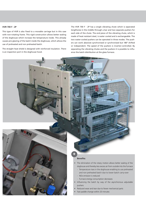#### **HVR 700 F - 2P**

This type of HVR is also fixed to a movable carriage but in this case with non-rotating frame. This rigid construction allows better sealing of the doghouse which increase the temperature inside. This already causes pre-glazing of the batch inside the doghouse, which allows the use of preheated and non preheated batch.

The straight heat shield is designed with reinforced insulation. There is an inspection port in the doghouse hood.

The HVR 700 F - 2P has a single vibrating chute which is seperated lengthwise in the middle through a bar and two separate pushers for each side of the chute. The end piece of the vibrating chute, which is made of heat resistant steel, is water cooled and is exchangeable. The two water-cooled pushers can be operated in three modes. The pushers can work absolute synchronised or synchronised but 180° shifted or independent. The speed of the pushers is inverter-controlled. By separating the vibrating chutes and the pushers it is possible to influence the batch distribution at the glass furnace.



#### **Benefits:**

+

- The elimination of the rotary motion allows better sealing of the doghouse and thereby less excess air from outside into the furnace
	- Temperature rises in the doghouse enabling to use preheated and non preheated batch due to lower batch carry-over
	- NOx emission is reduced
	- Furnace energy consumption decreases
- Influencing the batch by way of the asynchronous adjustable pushers
- Reduced wear and tear due to fewer mechanical parts
- Fast paddle change within 20 minutes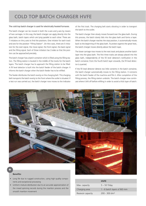## **COLD TOP BATCH CHARGER HVFE**

#### The cold top batch charger is used for electrically heated furnaces.

The batch charger can be moved in both the x-axis and y-axis by means of two carriages. In this way, the batch charger can apply directly into the glass bath, batch layers which are lying parallel to each other. There are 7 initiators on the y-axis to find the positions. One initiator for each track and one for the position "Filling Station". On the x-axis, there are 5 initiators for the start signal, the move signal, the front signal, the back signal and the filling signal. Each of these initiators has 3 sides so that the position can be approached precisely.

The batch charger has a batch container which is filled using the filling station. The filling station is located in the middle of the tracks for the batch layers. The batch charger has to approach the filling station to be filled. A fill level detector is built into the batch feeder of the batch charger. It informs the batch charger when the batch feeder has to be refilled.

The feeder distributes the batch evenly on the charging belt. This charging belt transports the batch evenly to the front where the outlet is situated. If a test run was carried out, the batch charger now moves to the indicator

of the first track. The charging belt starts vibrating in order to transport the batch to the outlet.

The batch charger then slowly moves forward over the glass bath. During this process, the batch slowly falls into the glass bath and forms a layer. When the batch charger reaches the stop position, it automatically moves back to the beginning of the glass bath. To protect against the great heat, the batch charger moves directly above the batch layer.

The lower carriage now moves to the next track and places another batch layer into the glass bath. The first three tracks are always placed into the glass bath, independently of the fill level detector's notification in the batch container. From the fourth batch layer onwards, the fill level detector is queried.

If the fill level detector detects too little contents in the batch container, the batch charger automatically moves to the filling station. It connects with the batch feeder of the machine and fills it. After completion of the filling process, the filling station undocks. The batch charger now continues where it left off before refilling in order to avoid a thick layer of batch.



#### **Benefits:**

- Long life due to rugged construction, using high quality components and exceptional processing
- Uniform mixture distribution due to an accurate approximation of the mixed spinning records during the insertion process and the smooth insertion movement

|                   | <b>HVFE</b>                 |
|-------------------|-----------------------------|
| Max. capacity     | $5 - 50$ T/day              |
| Charging area     | 1 - 6 batch layers á 560 mm |
| Resevoir capacity | $200 - 300$ dm <sup>3</sup> |